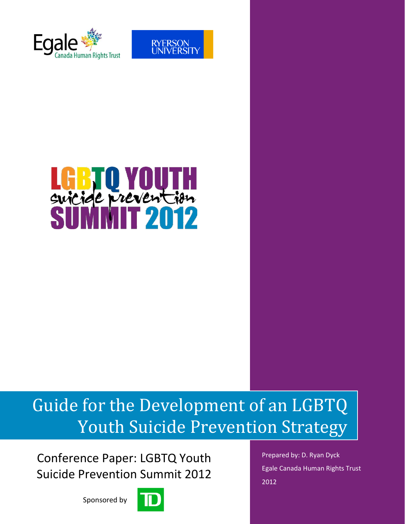



# LGB U YUUIH<br>swicide prevention

# Guide for the Development of an LGBTQ Youth Suicide Prevention Strategy

Conference Paper: LGBTQ Youth Suicide Prevention Summit 2012

Sponsored by



Prepared by: D. Ryan Dyck Egale Canada Human Rights Trust 2012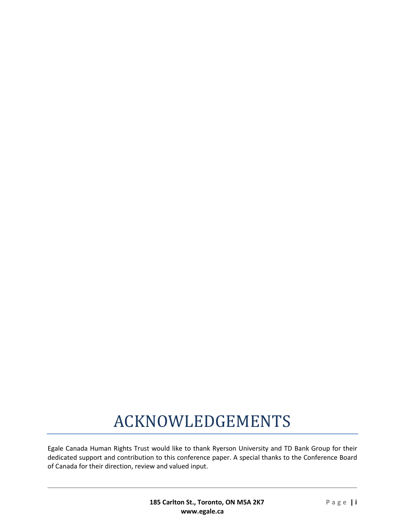# ACKNOWLEDGEMENTS

Egale Canada Human Rights Trust would like to thank Ryerson University and TD Bank Group for their dedicated support and contribution to this conference paper. A special thanks to the Conference Board of Canada for their direction, review and valued input.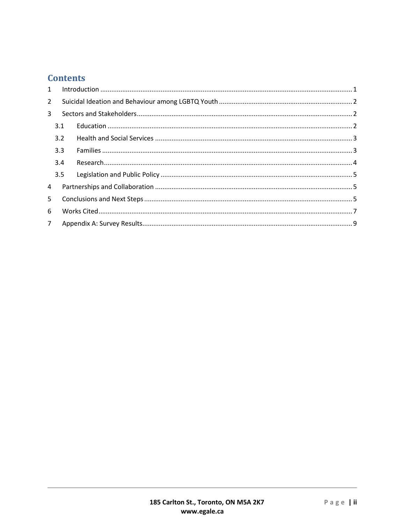# **Contents**

| $\mathbf{1}$   |     |  |
|----------------|-----|--|
| $\overline{2}$ |     |  |
| 3              |     |  |
|                | 3.1 |  |
|                | 3.2 |  |
|                | 3.3 |  |
|                | 3.4 |  |
|                | 3.5 |  |
| 4              |     |  |
| 5              |     |  |
| 6              |     |  |
| 7 <sup>7</sup> |     |  |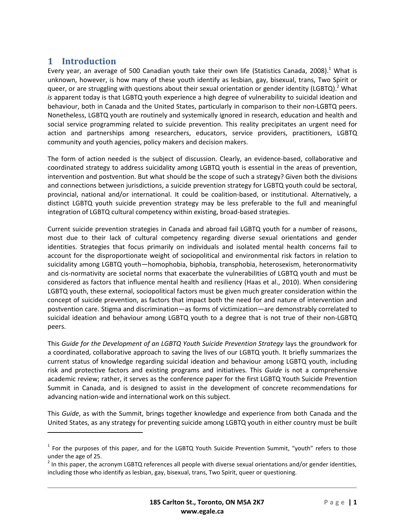# <span id="page-3-0"></span>**1 Introduction**

 $\overline{a}$ 

Every year, an average of 500 Canadian youth take their own life (Statistics Canada, 2008).<sup>1</sup> What is unknown, however, is how many of these youth identify as lesbian, gay, bisexual, trans, Two Spirit or queer, or are struggling with questions about their sexual orientation or gender identity (LGBTQ).<sup>2</sup> What *is* apparent today is that LGBTQ youth experience a high degree of vulnerability to suicidal ideation and behaviour, both in Canada and the United States, particularly in comparison to their non-LGBTQ peers. Nonetheless, LGBTQ youth are routinely and systemically ignored in research, education and health and social service programming related to suicide prevention. This reality precipitates an urgent need for action and partnerships among researchers, educators, service providers, practitioners, LGBTQ community and youth agencies, policy makers and decision makers.

The form of action needed is the subject of discussion. Clearly, an evidence-based, collaborative and coordinated strategy to address suicidality among LGBTQ youth is essential in the areas of prevention, intervention and postvention. But what should be the scope of such a strategy? Given both the divisions and connections between jurisdictions, a suicide prevention strategy for LGBTQ youth could be sectoral, provincial, national and/or international. It could be coalition-based, or institutional. Alternatively, a distinct LGBTQ youth suicide prevention strategy may be less preferable to the full and meaningful integration of LGBTQ cultural competency within existing, broad-based strategies.

Current suicide prevention strategies in Canada and abroad fail LGBTQ youth for a number of reasons, most due to their lack of cultural competency regarding diverse sexual orientations and gender identities. Strategies that focus primarily on individuals and isolated mental health concerns fail to account for the disproportionate weight of sociopolitical and environmental risk factors in relation to suicidality among LGBTQ youth—homophobia, biphobia, transphobia, heterosexism, heteronormativity and cis-normativity are societal norms that exacerbate the vulnerabilities of LGBTQ youth and must be considered as factors that influence mental health and resiliency (Haas et al., 2010). When considering LGBTQ youth, these external, sociopolitical factors must be given much greater consideration within the concept of suicide prevention, as factors that impact both the need for and nature of intervention and postvention care. Stigma and discrimination—as forms of victimization—are demonstrably correlated to suicidal ideation and behaviour among LGBTQ youth to a degree that is not true of their non-LGBTQ peers.

This *Guide for the Development of an LGBTQ Youth Suicide Prevention Strategy* lays the groundwork for a coordinated, collaborative approach to saving the lives of our LGBTQ youth. It briefly summarizes the current status of knowledge regarding suicidal ideation and behaviour among LGBTQ youth, including risk and protective factors and existing programs and initiatives. This *Guide* is not a comprehensive academic review; rather, it serves as the conference paper for the first LGBTQ Youth Suicide Prevention Summit in Canada, and is designed to assist in the development of concrete recommendations for advancing nation-wide and international work on this subject.

This *Guide*, as with the Summit, brings together knowledge and experience from both Canada and the United States, as any strategy for preventing suicide among LGBTQ youth in either country must be built

<sup>&</sup>lt;sup>1</sup> For the purposes of this paper, and for the LGBTQ Youth Suicide Prevention Summit, "youth" refers to those under the age of 25.

 $^2$  In this paper, the acronym LGBTQ references all people with diverse sexual orientations and/or gender identities, including those who identify as lesbian, gay, bisexual, trans, Two Spirit, queer or questioning.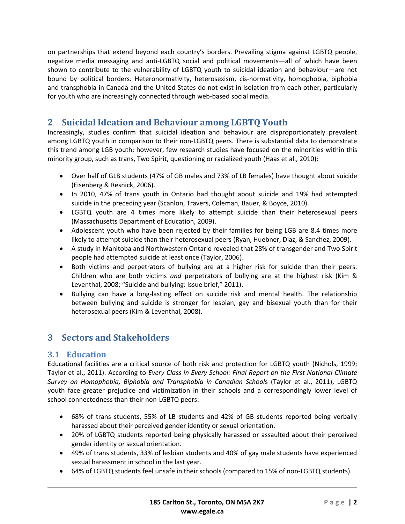on partnerships that extend beyond each country's borders. Prevailing stigma against LGBTQ people, negative media messaging and anti-LGBTQ social and political movements—all of which have been shown to contribute to the vulnerability of LGBTQ youth to suicidal ideation and behaviour—are not bound by political borders. Heteronormativity, heterosexism, cis-normativity, homophobia, biphobia and transphobia in Canada and the United States do not exist in isolation from each other, particularly for youth who are increasingly connected through web-based social media.

# <span id="page-4-0"></span>**2 Suicidal Ideation and Behaviour among LGBTQ Youth**

Increasingly, studies confirm that suicidal ideation and behaviour are disproportionately prevalent among LGBTQ youth in comparison to their non-LGBTQ peers. There is substantial data to demonstrate this trend among LGB youth; however, few research studies have focused on the minorities within this minority group, such as trans, Two Spirit, questioning or racialized youth (Haas et al., 2010):

- Over half of GLB students (47% of GB males and 73% of LB females) have thought about suicide (Eisenberg & Resnick, 2006).
- In 2010, 47% of trans youth in Ontario had thought about suicide and 19% had attempted suicide in the preceding year (Scanlon, Travers, Coleman, Bauer, & Boyce, 2010).
- LGBTQ youth are 4 times more likely to attempt suicide than their heterosexual peers (Massachusetts Department of Education, 2009).
- Adolescent youth who have been rejected by their families for being LGB are 8.4 times more likely to attempt suicide than their heterosexual peers (Ryan, Huebner, Diaz, & Sanchez, 2009).
- A study in Manitoba and Northwestern Ontario revealed that 28% of transgender and Two Spirit people had attempted suicide at least once (Taylor, 2006).
- Both victims and perpetrators of bullying are at a higher risk for suicide than their peers. Children who are both victims *and* perpetrators of bullying are at the highest risk (Kim & Leventhal, 2008; "Suicide and bullying: Issue brief," 2011).
- Bullying can have a long-lasting effect on suicide risk and mental health. The relationship between bullying and suicide is stronger for lesbian, gay and bisexual youth than for their heterosexual peers (Kim & Leventhal, 2008).

# <span id="page-4-1"></span>**3 Sectors and Stakeholders**

# <span id="page-4-2"></span>**3.1 Education**

Educational facilities are a critical source of both risk and protection for LGBTQ youth (Nichols, 1999; Taylor et al., 2011). According to *Every Class in Every School: Final Report on the First National Climate Survey on Homophobia, Biphobia and Transphobia in Canadian School*s (Taylor et al., 2011), LGBTQ youth face greater prejudice and victimization in their schools and a correspondingly lower level of school connectedness than their non-LGBTQ peers:

- 68% of trans students, 55% of LB students and 42% of GB students reported being verbally harassed about their perceived gender identity or sexual orientation.
- 20% of LGBTQ students reported being physically harassed or assaulted about their perceived gender identity or sexual orientation.
- 49% of trans students, 33% of lesbian students and 40% of gay male students have experienced sexual harassment in school in the last year.
- 64% of LGBTQ students feel unsafe in their schools (compared to 15% of non-LGBTQ students).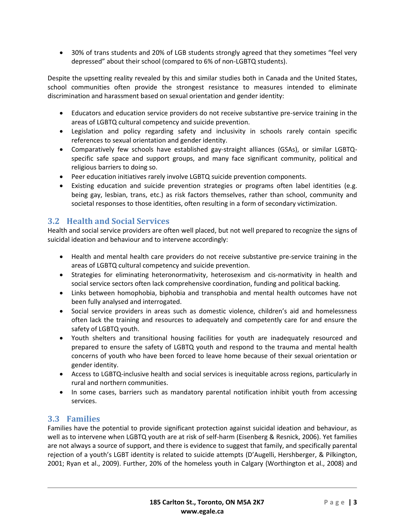30% of trans students and 20% of LGB students strongly agreed that they sometimes "feel very depressed" about their school (compared to 6% of non-LGBTQ students).

Despite the upsetting reality revealed by this and similar studies both in Canada and the United States, school communities often provide the strongest resistance to measures intended to eliminate discrimination and harassment based on sexual orientation and gender identity:

- Educators and education service providers do not receive substantive pre-service training in the areas of LGBTQ cultural competency and suicide prevention.
- Legislation and policy regarding safety and inclusivity in schools rarely contain specific references to sexual orientation and gender identity.
- Comparatively few schools have established gay-straight alliances (GSAs), or similar LGBTQspecific safe space and support groups, and many face significant community, political and religious barriers to doing so.
- Peer education initiatives rarely involve LGBTQ suicide prevention components.
- Existing education and suicide prevention strategies or programs often label identities (e.g. being gay, lesbian, trans, etc.) as risk factors themselves, rather than school, community and societal responses to those identities, often resulting in a form of secondary victimization.

### <span id="page-5-0"></span>**3.2 Health and Social Services**

Health and social service providers are often well placed, but not well prepared to recognize the signs of suicidal ideation and behaviour and to intervene accordingly:

- Health and mental health care providers do not receive substantive pre-service training in the areas of LGBTQ cultural competency and suicide prevention.
- Strategies for eliminating heteronormativity, heterosexism and cis-normativity in health and social service sectors often lack comprehensive coordination, funding and political backing.
- Links between homophobia, biphobia and transphobia and mental health outcomes have not been fully analysed and interrogated.
- Social service providers in areas such as domestic violence, children's aid and homelessness often lack the training and resources to adequately and competently care for and ensure the safety of LGBTQ youth.
- Youth shelters and transitional housing facilities for youth are inadequately resourced and prepared to ensure the safety of LGBTQ youth and respond to the trauma and mental health concerns of youth who have been forced to leave home because of their sexual orientation or gender identity.
- Access to LGBTQ-inclusive health and social services is inequitable across regions, particularly in rural and northern communities.
- In some cases, barriers such as mandatory parental notification inhibit youth from accessing services.

#### <span id="page-5-1"></span>**3.3 Families**

Families have the potential to provide significant protection against suicidal ideation and behaviour, as well as to intervene when LGBTQ youth are at risk of self-harm (Eisenberg & Resnick, 2006). Yet families are not always a source of support, and there is evidence to suggest that family, and specifically parental rejection of a youth's LGBT identity is related to suicide attempts (D'Augelli, Hershberger, & Pilkington, 2001; Ryan et al., 2009). Further, 20% of the homeless youth in Calgary (Worthington et al., 2008) and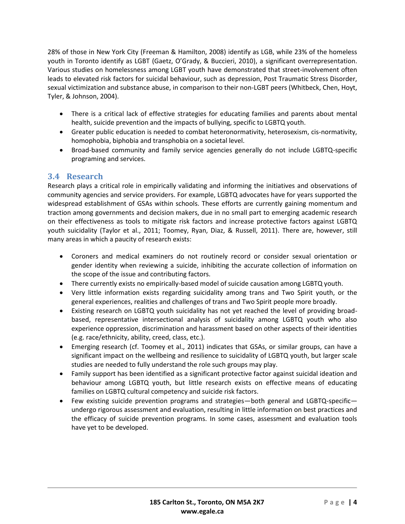28% of those in New York City (Freeman & Hamilton, 2008) identify as LGB, while 23% of the homeless youth in Toronto identify as LGBT (Gaetz, O'Grady, & Buccieri, 2010), a significant overrepresentation. Various studies on homelessness among LGBT youth have demonstrated that street-involvement often leads to elevated risk factors for suicidal behaviour, such as depression, Post Traumatic Stress Disorder, sexual victimization and substance abuse, in comparison to their non-LGBT peers (Whitbeck, Chen, Hoyt, Tyler, & Johnson, 2004).

- There is a critical lack of effective strategies for educating families and parents about mental health, suicide prevention and the impacts of bullying, specific to LGBTQ youth.
- Greater public education is needed to combat heteronormativity, heterosexism, cis-normativity, homophobia, biphobia and transphobia on a societal level.
- Broad-based community and family service agencies generally do not include LGBTQ-specific programing and services.

# <span id="page-6-0"></span>**3.4 Research**

Research plays a critical role in empirically validating and informing the initiatives and observations of community agencies and service providers. For example, LGBTQ advocates have for years supported the widespread establishment of GSAs within schools. These efforts are currently gaining momentum and traction among governments and decision makers, due in no small part to emerging academic research on their effectiveness as tools to mitigate risk factors and increase protective factors against LGBTQ youth suicidality (Taylor et al., 2011; Toomey, Ryan, Diaz, & Russell, 2011). There are, however, still many areas in which a paucity of research exists:

- Coroners and medical examiners do not routinely record or consider sexual orientation or gender identity when reviewing a suicide, inhibiting the accurate collection of information on the scope of the issue and contributing factors.
- There currently exists no empirically-based model of suicide causation among LGBTQ youth.
- Very little information exists regarding suicidality among trans and Two Spirit youth, or the general experiences, realities and challenges of trans and Two Spirit people more broadly.
- Existing research on LGBTQ youth suicidality has not yet reached the level of providing broadbased, representative intersectional analysis of suicidality among LGBTQ youth who also experience oppression, discrimination and harassment based on other aspects of their identities (e.g. race/ethnicity, ability, creed, class, etc.).
- Emerging research (cf. Toomey et al., 2011) indicates that GSAs, or similar groups, can have a significant impact on the wellbeing and resilience to suicidality of LGBTQ youth, but larger scale studies are needed to fully understand the role such groups may play.
- Family support has been identified as a significant protective factor against suicidal ideation and behaviour among LGBTQ youth, but little research exists on effective means of educating families on LGBTQ cultural competency and suicide risk factors.
- Few existing suicide prevention programs and strategies—both general and LGBTQ-specific undergo rigorous assessment and evaluation, resulting in little information on best practices and the efficacy of suicide prevention programs. In some cases, assessment and evaluation tools have yet to be developed.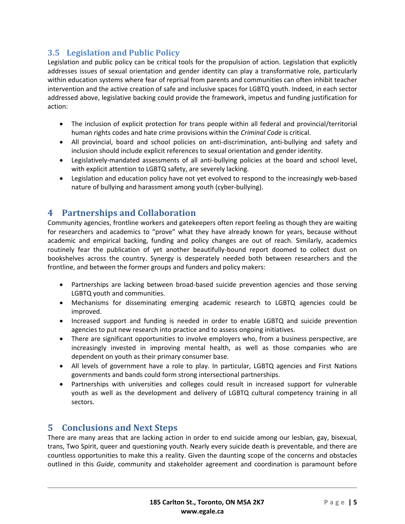# <span id="page-7-0"></span>**3.5 Legislation and Public Policy**

Legislation and public policy can be critical tools for the propulsion of action. Legislation that explicitly addresses issues of sexual orientation and gender identity can play a transformative role, particularly within education systems where fear of reprisal from parents and communities can often inhibit teacher intervention and the active creation of safe and inclusive spaces for LGBTQ youth. Indeed, in each sector addressed above, legislative backing could provide the framework, impetus and funding justification for action:

- The inclusion of explicit protection for trans people within all federal and provincial/territorial human rights codes and hate crime provisions within the *Criminal Code* is critical.
- All provincial, board and school policies on anti-discrimination, anti-bullying and safety and inclusion should include explicit references to sexual orientation and gender identity.
- Legislatively-mandated assessments of all anti-bullying policies at the board and school level, with explicit attention to LGBTQ safety, are severely lacking.
- Legislation and education policy have not yet evolved to respond to the increasingly web-based nature of bullying and harassment among youth (cyber-bullying).

# <span id="page-7-1"></span>**4 Partnerships and Collaboration**

Community agencies, frontline workers and gatekeepers often report feeling as though they are waiting for researchers and academics to "prove" what they have already known for years, because without academic and empirical backing, funding and policy changes are out of reach. Similarly, academics routinely fear the publication of yet another beautifully-bound report doomed to collect dust on bookshelves across the country. Synergy is desperately needed both between researchers and the frontline, and between the former groups and funders and policy makers:

- Partnerships are lacking between broad-based suicide prevention agencies and those serving LGBTQ youth and communities.
- Mechanisms for disseminating emerging academic research to LGBTQ agencies could be improved.
- Increased support and funding is needed in order to enable LGBTQ and suicide prevention agencies to put new research into practice and to assess ongoing initiatives.
- There are significant opportunities to involve employers who, from a business perspective, are increasingly invested in improving mental health, as well as those companies who are dependent on youth as their primary consumer base.
- All levels of government have a role to play. In particular, LGBTQ agencies and First Nations governments and bands could form strong intersectional partnerships.
- Partnerships with universities and colleges could result in increased support for vulnerable youth as well as the development and delivery of LGBTQ cultural competency training in all sectors.

# <span id="page-7-2"></span>**5 Conclusions and Next Steps**

There are many areas that are lacking action in order to end suicide among our lesbian, gay, bisexual, trans, Two Spirit, queer and questioning youth. Nearly every suicide death is preventable, and there are countless opportunities to make this a reality. Given the daunting scope of the concerns and obstacles outlined in this *Guide*, community and stakeholder agreement and coordination is paramount before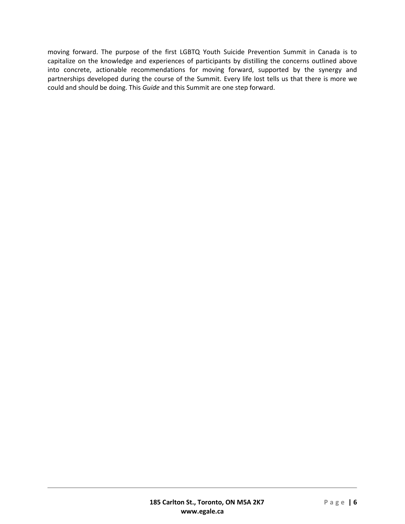moving forward. The purpose of the first LGBTQ Youth Suicide Prevention Summit in Canada is to capitalize on the knowledge and experiences of participants by distilling the concerns outlined above into concrete, actionable recommendations for moving forward, supported by the synergy and partnerships developed during the course of the Summit. Every life lost tells us that there is more we could and should be doing. This *Guide* and this Summit are one step forward.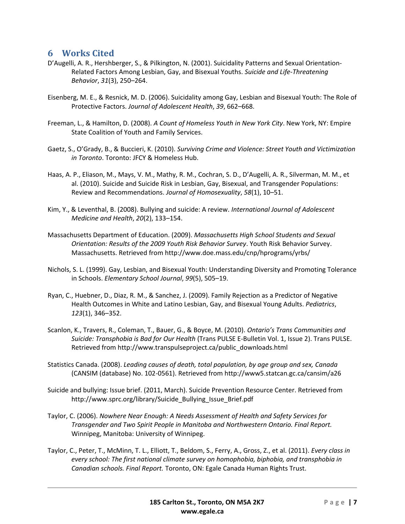# <span id="page-9-0"></span>**6 Works Cited**

- D'Augelli, A. R., Hershberger, S., & Pilkington, N. (2001). Suicidality Patterns and Sexual Orientation-Related Factors Among Lesbian, Gay, and Bisexual Youths. *Suicide and Life-Threatening Behavior*, *31*(3), 250–264.
- Eisenberg, M. E., & Resnick, M. D. (2006). Suicidality among Gay, Lesbian and Bisexual Youth: The Role of Protective Factors. *Journal of Adolescent Health*, *39*, 662–668.
- Freeman, L., & Hamilton, D. (2008). *A Count of Homeless Youth in New York City*. New York, NY: Empire State Coalition of Youth and Family Services.
- Gaetz, S., O'Grady, B., & Buccieri, K. (2010). *Surviving Crime and Violence: Street Youth and Victimization in Toronto*. Toronto: JFCY & Homeless Hub.
- Haas, A. P., Eliason, M., Mays, V. M., Mathy, R. M., Cochran, S. D., D'Augelli, A. R., Silverman, M. M., et al. (2010). Suicide and Suicide Risk in Lesbian, Gay, Bisexual, and Transgender Populations: Review and Recommendations. *Journal of Homosexuality*, *58*(1), 10–51.
- Kim, Y., & Leventhal, B. (2008). Bullying and suicide: A review. *International Journal of Adolescent Medicine and Health*, *20*(2), 133–154.
- Massachusetts Department of Education. (2009). *Massachusetts High School Students and Sexual Orientation: Results of the 2009 Youth Risk Behavior Survey*. Youth Risk Behavior Survey. Massachusetts. Retrieved from http://www.doe.mass.edu/cnp/hprograms/yrbs/
- Nichols, S. L. (1999). Gay, Lesbian, and Bisexual Youth: Understanding Diversity and Promoting Tolerance in Schools. *Elementary School Journal*, *99*(5), 505–19.
- Ryan, C., Huebner, D., Diaz, R. M., & Sanchez, J. (2009). Family Rejection as a Predictor of Negative Health Outcomes in White and Latino Lesbian, Gay, and Bisexual Young Adults. *Pediatrics*, *123*(1), 346–352.
- Scanlon, K., Travers, R., Coleman, T., Bauer, G., & Boyce, M. (2010). *Ontario's Trans Communities and Suicide: Transphobia is Bad for Our Health* (Trans PULSE E-Bulletin Vol. 1, Issue 2). Trans PULSE. Retrieved from http://www.transpulseproject.ca/public\_downloads.html
- Statistics Canada. (2008). *Leading causes of death, total population, by age group and sex, Canada* (CANSIM (database) No. 102-0561). Retrieved from http://www5.statcan.gc.ca/cansim/a26
- Suicide and bullying: Issue brief. (2011, March). Suicide Prevention Resource Center. Retrieved from http://www.sprc.org/library/Suicide\_Bullying\_Issue\_Brief.pdf
- Taylor, C. (2006). *Nowhere Near Enough: A Needs Assessment of Health and Safety Services for Transgender and Two Spirit People in Manitoba and Northwestern Ontario. Final Report.* Winnipeg, Manitoba: University of Winnipeg.
- Taylor, C., Peter, T., McMinn, T. L., Elliott, T., Beldom, S., Ferry, A., Gross, Z., et al. (2011). *Every class in every school: The first national climate survey on homophobia, biphobia, and transphobia in Canadian schools. Final Report.* Toronto, ON: Egale Canada Human Rights Trust.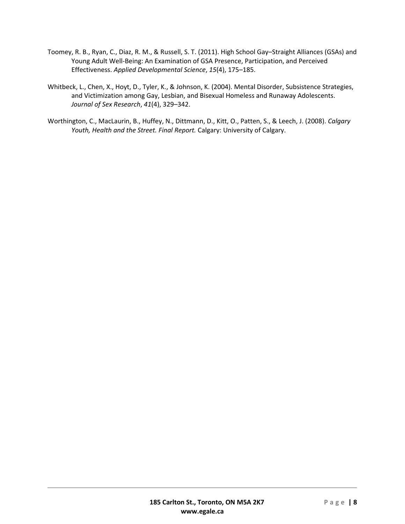- Toomey, R. B., Ryan, C., Diaz, R. M., & Russell, S. T. (2011). High School Gay–Straight Alliances (GSAs) and Young Adult Well-Being: An Examination of GSA Presence, Participation, and Perceived Effectiveness. *Applied Developmental Science*, *15*(4), 175–185.
- Whitbeck, L., Chen, X., Hoyt, D., Tyler, K., & Johnson, K. (2004). Mental Disorder, Subsistence Strategies, and Victimization among Gay, Lesbian, and Bisexual Homeless and Runaway Adolescents. *Journal of Sex Research*, *41*(4), 329–342.
- Worthington, C., MacLaurin, B., Huffey, N., Dittmann, D., Kitt, O., Patten, S., & Leech, J. (2008). *Calgary Youth, Health and the Street. Final Report.* Calgary: University of Calgary.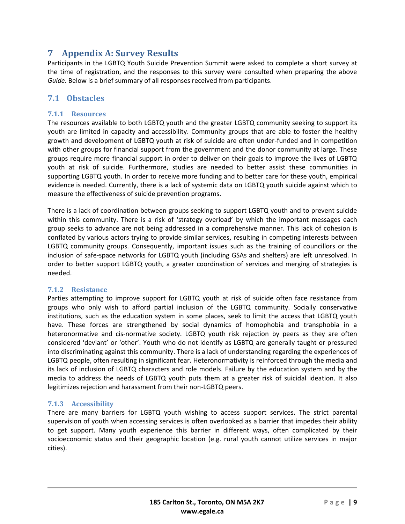# <span id="page-11-0"></span>**7 Appendix A: Survey Results**

Participants in the LGBTQ Youth Suicide Prevention Summit were asked to complete a short survey at the time of registration, and the responses to this survey were consulted when preparing the above *Guide*. Below is a brief summary of all responses received from participants.

### **7.1 Obstacles**

#### **7.1.1 Resources**

The resources available to both LGBTQ youth and the greater LGBTQ community seeking to support its youth are limited in capacity and accessibility. Community groups that are able to foster the healthy growth and development of LGBTQ youth at risk of suicide are often under-funded and in competition with other groups for financial support from the government and the donor community at large. These groups require more financial support in order to deliver on their goals to improve the lives of LGBTQ youth at risk of suicide. Furthermore, studies are needed to better assist these communities in supporting LGBTQ youth. In order to receive more funding and to better care for these youth, empirical evidence is needed. Currently, there is a lack of systemic data on LGBTQ youth suicide against which to measure the effectiveness of suicide prevention programs.

There is a lack of coordination between groups seeking to support LGBTQ youth and to prevent suicide within this community. There is a risk of 'strategy overload' by which the important messages each group seeks to advance are not being addressed in a comprehensive manner. This lack of cohesion is conflated by various actors trying to provide similar services, resulting in competing interests between LGBTQ community groups. Consequently, important issues such as the training of councillors or the inclusion of safe-space networks for LGBTQ youth (including GSAs and shelters) are left unresolved. In order to better support LGBTQ youth, a greater coordination of services and merging of strategies is needed.

#### **7.1.2 Resistance**

Parties attempting to improve support for LGBTQ youth at risk of suicide often face resistance from groups who only wish to afford partial inclusion of the LGBTQ community. Socially conservative institutions, such as the education system in some places, seek to limit the access that LGBTQ youth have. These forces are strengthened by social dynamics of homophobia and transphobia in a heteronormative and cis-normative society. LGBTQ youth risk rejection by peers as they are often considered 'deviant' or 'other'. Youth who do not identify as LGBTQ are generally taught or pressured into discriminating against this community. There is a lack of understanding regarding the experiences of LGBTQ people, often resulting in significant fear. Heteronormativity is reinforced through the media and its lack of inclusion of LGBTQ characters and role models. Failure by the education system and by the media to address the needs of LGBTQ youth puts them at a greater risk of suicidal ideation. It also legitimizes rejection and harassment from their non-LGBTQ peers.

#### **7.1.3 Accessibility**

There are many barriers for LGBTQ youth wishing to access support services. The strict parental supervision of youth when accessing services is often overlooked as a barrier that impedes their ability to get support. Many youth experience this barrier in different ways, often complicated by their socioeconomic status and their geographic location (e.g. rural youth cannot utilize services in major cities).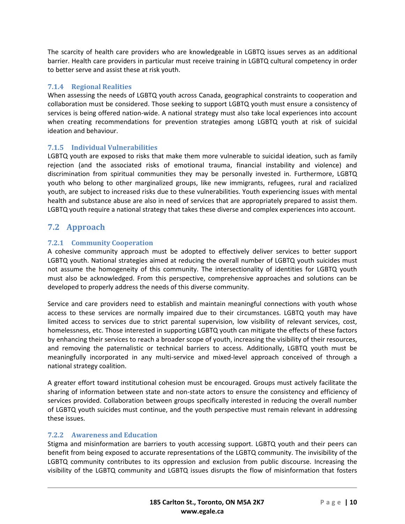The scarcity of health care providers who are knowledgeable in LGBTQ issues serves as an additional barrier. Health care providers in particular must receive training in LGBTQ cultural competency in order to better serve and assist these at risk youth.

#### **7.1.4 Regional Realities**

When assessing the needs of LGBTQ youth across Canada, geographical constraints to cooperation and collaboration must be considered. Those seeking to support LGBTQ youth must ensure a consistency of services is being offered nation-wide. A national strategy must also take local experiences into account when creating recommendations for prevention strategies among LGBTQ youth at risk of suicidal ideation and behaviour.

#### **7.1.5 Individual Vulnerabilities**

LGBTQ youth are exposed to risks that make them more vulnerable to suicidal ideation, such as family rejection (and the associated risks of emotional trauma, financial instability and violence) and discrimination from spiritual communities they may be personally invested in. Furthermore, LGBTQ youth who belong to other marginalized groups, like new immigrants, refugees, rural and racialized youth, are subject to increased risks due to these vulnerabilities. Youth experiencing issues with mental health and substance abuse are also in need of services that are appropriately prepared to assist them. LGBTQ youth require a national strategy that takes these diverse and complex experiences into account.

#### **7.2 Approach**

#### **7.2.1 Community Cooperation**

A cohesive community approach must be adopted to effectively deliver services to better support LGBTQ youth. National strategies aimed at reducing the overall number of LGBTQ youth suicides must not assume the homogeneity of this community. The intersectionality of identities for LGBTQ youth must also be acknowledged. From this perspective, comprehensive approaches and solutions can be developed to properly address the needs of this diverse community.

Service and care providers need to establish and maintain meaningful connections with youth whose access to these services are normally impaired due to their circumstances. LGBTQ youth may have limited access to services due to strict parental supervision, low visibility of relevant services, cost, homelessness, etc. Those interested in supporting LGBTQ youth can mitigate the effects of these factors by enhancing their services to reach a broader scope of youth, increasing the visibility of their resources, and removing the paternalistic or technical barriers to access. Additionally, LGBTQ youth must be meaningfully incorporated in any multi-service and mixed-level approach conceived of through a national strategy coalition.

A greater effort toward institutional cohesion must be encouraged. Groups must actively facilitate the sharing of information between state and non-state actors to ensure the consistency and efficiency of services provided. Collaboration between groups specifically interested in reducing the overall number of LGBTQ youth suicides must continue, and the youth perspective must remain relevant in addressing these issues.

#### **7.2.2 Awareness and Education**

Stigma and misinformation are barriers to youth accessing support. LGBTQ youth and their peers can benefit from being exposed to accurate representations of the LGBTQ community. The invisibility of the LGBTQ community contributes to its oppression and exclusion from public discourse. Increasing the visibility of the LGBTQ community and LGBTQ issues disrupts the flow of misinformation that fosters